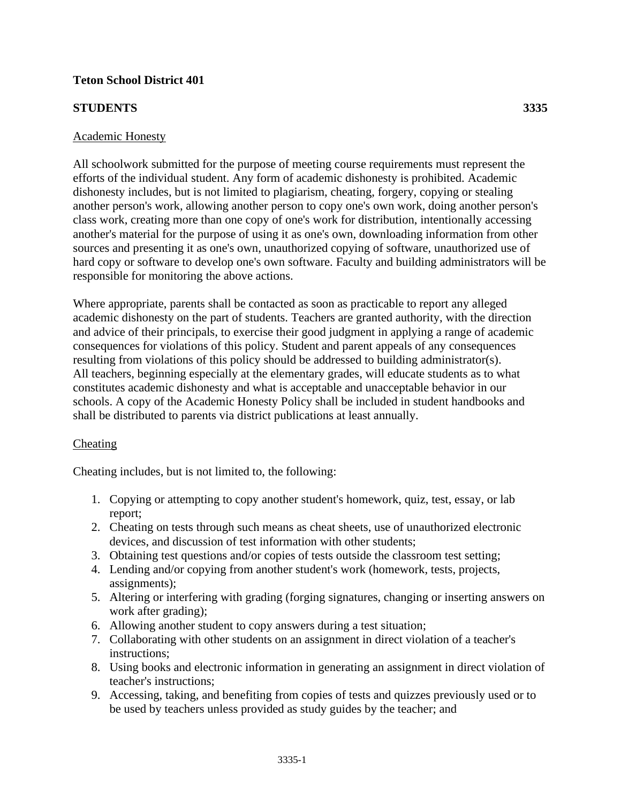# **Teton School District 401**

### **STUDENTS 3335**

#### Academic Honesty

All schoolwork submitted for the purpose of meeting course requirements must represent the efforts of the individual student. Any form of academic dishonesty is prohibited. Academic dishonesty includes, but is not limited to plagiarism, cheating, forgery, copying or stealing another person's work, allowing another person to copy one's own work, doing another person's class work, creating more than one copy of one's work for distribution, intentionally accessing another's material for the purpose of using it as one's own, downloading information from other sources and presenting it as one's own, unauthorized copying of software, unauthorized use of hard copy or software to develop one's own software. Faculty and building administrators will be responsible for monitoring the above actions.

Where appropriate, parents shall be contacted as soon as practicable to report any alleged academic dishonesty on the part of students. Teachers are granted authority, with the direction and advice of their principals, to exercise their good judgment in applying a range of academic consequences for violations of this policy. Student and parent appeals of any consequences resulting from violations of this policy should be addressed to building administrator(s). All teachers, beginning especially at the elementary grades, will educate students as to what constitutes academic dishonesty and what is acceptable and unacceptable behavior in our schools. A copy of the Academic Honesty Policy shall be included in student handbooks and shall be distributed to parents via district publications at least annually.

### Cheating

Cheating includes, but is not limited to, the following:

- 1. Copying or attempting to copy another student's homework, quiz, test, essay, or lab report;
- 2. Cheating on tests through such means as cheat sheets, use of unauthorized electronic devices, and discussion of test information with other students;
- 3. Obtaining test questions and/or copies of tests outside the classroom test setting;
- 4. Lending and/or copying from another student's work (homework, tests, projects, assignments);
- 5. Altering or interfering with grading (forging signatures, changing or inserting answers on work after grading);
- 6. Allowing another student to copy answers during a test situation;
- 7. Collaborating with other students on an assignment in direct violation of a teacher's instructions;
- 8. Using books and electronic information in generating an assignment in direct violation of teacher's instructions;
- 9. Accessing, taking, and benefiting from copies of tests and quizzes previously used or to be used by teachers unless provided as study guides by the teacher; and